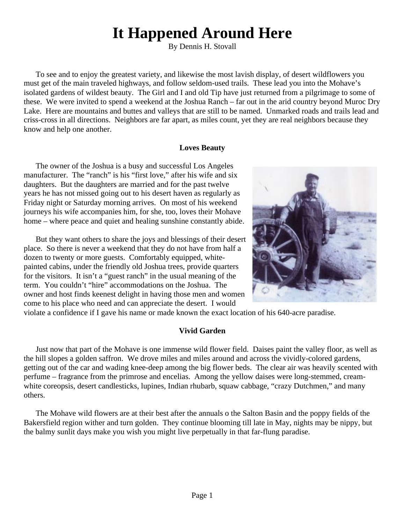# **It Happened Around Here**

By Dennis H. Stovall

To see and to enjoy the greatest variety, and likewise the most lavish display, of desert wildflowers you must get of the main traveled highways, and follow seldom-used trails. These lead you into the Mohave's isolated gardens of wildest beauty. The Girl and I and old Tip have just returned from a pilgrimage to some of these. We were invited to spend a weekend at the Joshua Ranch – far out in the arid country beyond Muroc Dry Lake. Here are mountains and buttes and valleys that are still to be named. Unmarked roads and trails lead and criss-cross in all directions. Neighbors are far apart, as miles count, yet they are real neighbors because they know and help one another.

## **Loves Beauty**

The owner of the Joshua is a busy and successful Los Angeles manufacturer. The "ranch" is his "first love," after his wife and six daughters. But the daughters are married and for the past twelve years he has not missed going out to his desert haven as regularly as Friday night or Saturday morning arrives. On most of his weekend journeys his wife accompanies him, for she, too, loves their Mohave home – where peace and quiet and healing sunshine constantly abide.

But they want others to share the joys and blessings of their desert place. So there is never a weekend that they do not have from half a dozen to twenty or more guests. Comfortably equipped, whitepainted cabins, under the friendly old Joshua trees, provide quarters for the visitors. It isn't a "guest ranch" in the usual meaning of the term. You couldn't "hire" accommodations on the Joshua. The owner and host finds keenest delight in having those men and women come to his place who need and can appreciate the desert. I would



violate a confidence if I gave his name or made known the exact location of his 640-acre paradise.

#### **Vivid Garden**

Just now that part of the Mohave is one immense wild flower field. Daises paint the valley floor, as well as the hill slopes a golden saffron. We drove miles and miles around and across the vividly-colored gardens, getting out of the car and wading knee-deep among the big flower beds. The clear air was heavily scented with perfume – fragrance from the primrose and encelias. Among the yellow daises were long-stemmed, creamwhite coreopsis, desert candlesticks, lupines, Indian rhubarb, squaw cabbage, "crazy Dutchmen," and many others.

The Mohave wild flowers are at their best after the annuals o the Salton Basin and the poppy fields of the Bakersfield region wither and turn golden. They continue blooming till late in May, nights may be nippy, but the balmy sunlit days make you wish you might live perpetually in that far-flung paradise.